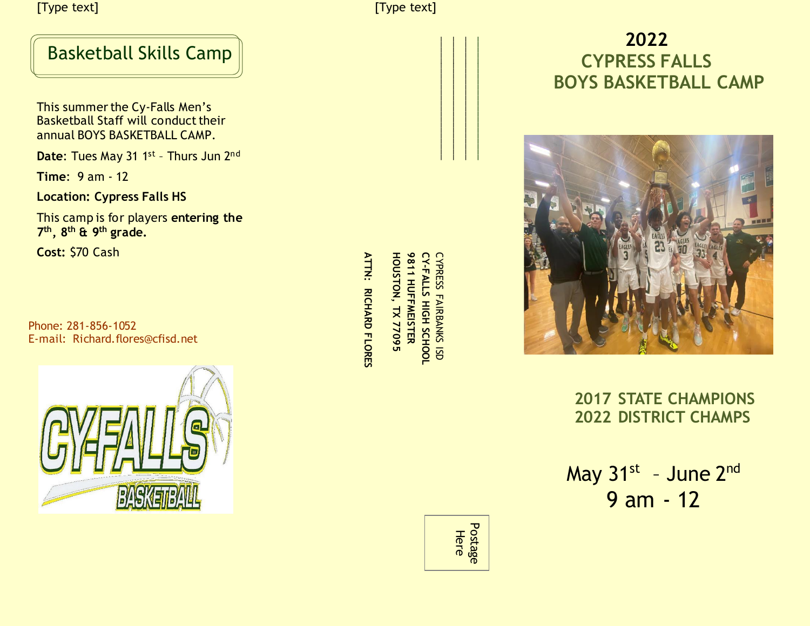[Type text] [Type text]

### Basketball Skills Camp

 This summer the Cy-Falls Men's Basketball Staff will conduct their annual BOYS BASKETBALL CAMP. E-mail: Richard.flores@cfisd.net<br>
E-mail: Richard.flores@cfisd.net<br>
Phone: 281-856-1052<br>
E-mail: Richard.flores@cfisd.net<br>
Phone: 281-856-1052<br>
E-mail: Richard.flores@cfisd.net<br>
2007<br>
2007<br>
2007<br>
2007<br>
2007<br>
2007<br>
2007<br>
20

**Date:** Tues May 31 1st - Thurs Jun 2<sup>nd</sup>

**Time**: 9 am - 12

**Location: Cypress Falls HS**

This camp is for players **entering the 7 th , 8 th & 9 th grade.**

**Cost:** \$70 Cash

Phone: 281-856-1052



**ATTN: RICHARD FLORES**

**CYPRESS FAIRBANKS ISD<br>CY-FALLS HIGH SCHOOL** CYPRESS FAIRBANKS ISD **-FALLS HIGH SCHOOL HOUSTON, TX 77095 9811 HUFFMEISTER**



# **2022 CYPRESS FALLS BOYS BASKETBALL CAMP**



 **2017 STATE CHAMPIONS 2022 DISTRICT CHAMPS** 

May 31<sup>st</sup> - June 2<sup>nd</sup> 9 am - 12